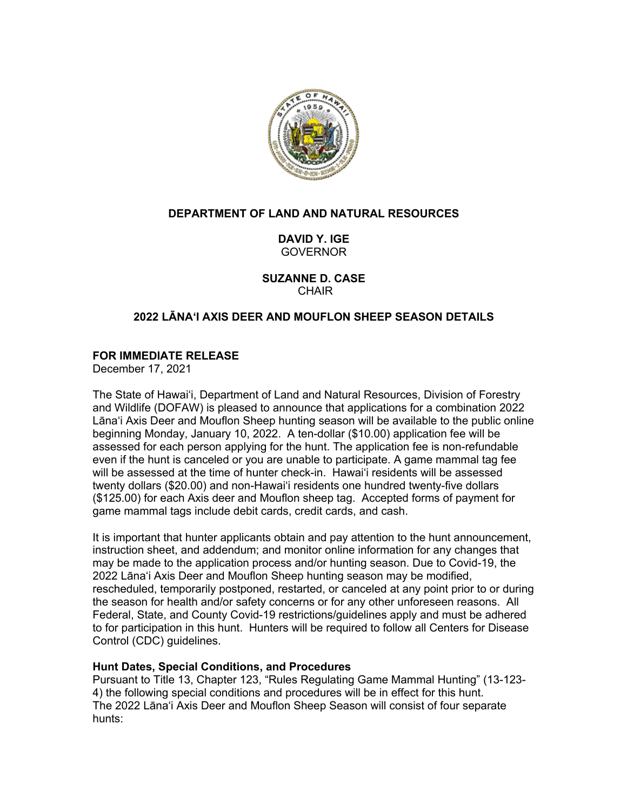

# **DEPARTMENT OF LAND AND NATURAL RESOURCES**

**DAVID Y. IGE** GOVERNOR

**SUZANNE D. CASE CHAIR** 

# **2022 LĀNAʻI AXIS DEER AND MOUFLON SHEEP SEASON DETAILS**

## **FOR IMMEDIATE RELEASE**

December 17, 2021

The State of Hawaiʻi, Department of Land and Natural Resources, Division of Forestry and Wildlife (DOFAW) is pleased to announce that applications for a combination 2022 Lānaʻi Axis Deer and Mouflon Sheep hunting season will be available to the public online beginning Monday, January 10, 2022. A ten-dollar (\$10.00) application fee will be assessed for each person applying for the hunt. The application fee is non-refundable even if the hunt is canceled or you are unable to participate. A game mammal tag fee will be assessed at the time of hunter check-in. Hawaiʻi residents will be assessed twenty dollars (\$20.00) and non-Hawaiʻi residents one hundred twenty-five dollars (\$125.00) for each Axis deer and Mouflon sheep tag. Accepted forms of payment for game mammal tags include debit cards, credit cards, and cash.

It is important that hunter applicants obtain and pay attention to the hunt announcement, instruction sheet, and addendum; and monitor online information for any changes that may be made to the application process and/or hunting season. Due to Covid-19, the 2022 Lānaʻi Axis Deer and Mouflon Sheep hunting season may be modified, rescheduled, temporarily postponed, restarted, or canceled at any point prior to or during the season for health and/or safety concerns or for any other unforeseen reasons. All Federal, State, and County Covid-19 restrictions/guidelines apply and must be adhered to for participation in this hunt. Hunters will be required to follow all Centers for Disease Control (CDC) guidelines.

#### **Hunt Dates, Special Conditions, and Procedures**

Pursuant to Title 13, Chapter 123, "Rules Regulating Game Mammal Hunting" (13-123- 4) the following special conditions and procedures will be in effect for this hunt. The 2022 Lānaʻi Axis Deer and Mouflon Sheep Season will consist of four separate hunts: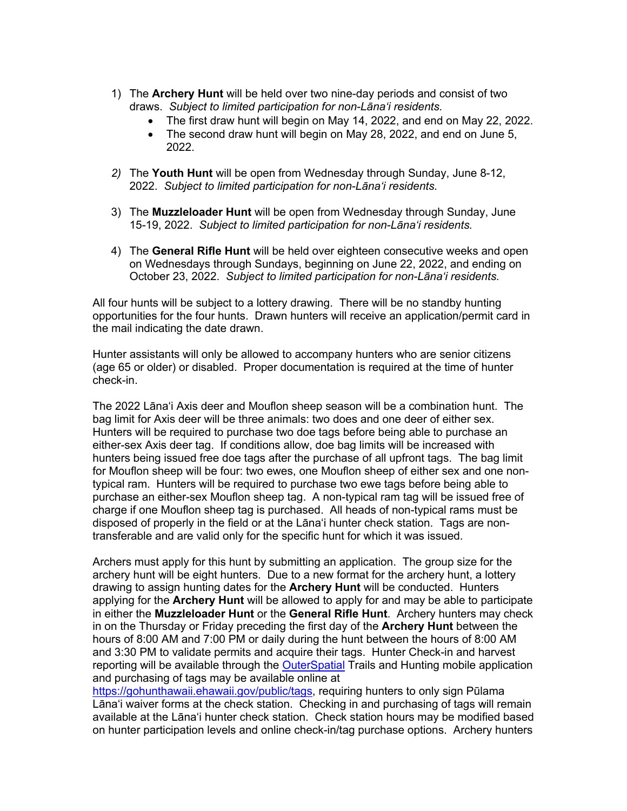- 1) The **Archery Hunt** will be held over two nine-day periods and consist of two draws. *Subject to limited participation for non-Lānaʻi residents.*
	- The first draw hunt will begin on May 14, 2022, and end on May 22, 2022.
	- The second draw hunt will begin on May 28, 2022, and end on June 5, 2022.
- *2)* The **Youth Hunt** will be open from Wednesday through Sunday, June 8-12, 2022. *Subject to limited participation for non-Lānaʻi residents.*
- 3) The **Muzzleloader Hunt** will be open from Wednesday through Sunday, June 15-19, 2022. *Subject to limited participation for non-Lānaʻi residents.*
- 4) The **General Rifle Hunt** will be held over eighteen consecutive weeks and open on Wednesdays through Sundays, beginning on June 22, 2022, and ending on October 23, 2022. *Subject to limited participation for non-Lānaʻi residents.*

All four hunts will be subject to a lottery drawing. There will be no standby hunting opportunities for the four hunts. Drawn hunters will receive an application/permit card in the mail indicating the date drawn.

Hunter assistants will only be allowed to accompany hunters who are senior citizens (age 65 or older) or disabled. Proper documentation is required at the time of hunter check-in.

The 2022 Lānaʻi Axis deer and Mouflon sheep season will be a combination hunt. The bag limit for Axis deer will be three animals: two does and one deer of either sex. Hunters will be required to purchase two doe tags before being able to purchase an either-sex Axis deer tag. If conditions allow, doe bag limits will be increased with hunters being issued free doe tags after the purchase of all upfront tags. The bag limit for Mouflon sheep will be four: two ewes, one Mouflon sheep of either sex and one nontypical ram. Hunters will be required to purchase two ewe tags before being able to purchase an either-sex Mouflon sheep tag. A non-typical ram tag will be issued free of charge if one Mouflon sheep tag is purchased. All heads of non-typical rams must be disposed of properly in the field or at the Lānaʻi hunter check station. Tags are nontransferable and are valid only for the specific hunt for which it was issued.

Archers must apply for this hunt by submitting an application. The group size for the archery hunt will be eight hunters. Due to a new format for the archery hunt, a lottery drawing to assign hunting dates for the **Archery Hunt** will be conducted. Hunters applying for the **Archery Hunt** will be allowed to apply for and may be able to participate in either the **Muzzleloader Hunt** or the **General Rifle Hunt**. Archery hunters may check in on the Thursday or Friday preceding the first day of the **Archery Hunt** between the hours of 8:00 AM and 7:00 PM or daily during the hunt between the hours of 8:00 AM and 3:30 PM to validate permits and acquire their tags. Hunter Check-in and harvest reporting will be available through the OuterSpatial Trails and Hunting mobile application and purchasing of tags may be available online at

https://gohunthawaii.ehawaii.gov/public/tags, requiring hunters to only sign Pūlama Lānaʻi waiver forms at the check station. Checking in and purchasing of tags will remain available at the Lānaʻi hunter check station. Check station hours may be modified based on hunter participation levels and online check-in/tag purchase options. Archery hunters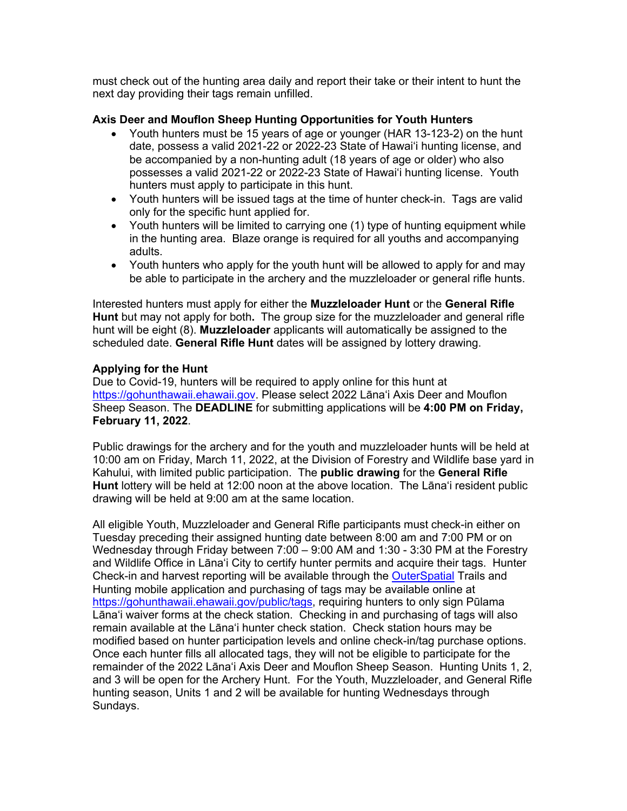must check out of the hunting area daily and report their take or their intent to hunt the next day providing their tags remain unfilled.

### **Axis Deer and Mouflon Sheep Hunting Opportunities for Youth Hunters**

- Youth hunters must be 15 years of age or younger (HAR 13-123-2) on the hunt date, possess a valid 2021-22 or 2022-23 State of Hawaiʻi hunting license, and be accompanied by a non-hunting adult (18 years of age or older) who also possesses a valid 2021-22 or 2022-23 State of Hawaiʻi hunting license. Youth hunters must apply to participate in this hunt.
- Youth hunters will be issued tags at the time of hunter check-in. Tags are valid only for the specific hunt applied for.
- Youth hunters will be limited to carrying one (1) type of hunting equipment while in the hunting area. Blaze orange is required for all youths and accompanying adults.
- Youth hunters who apply for the youth hunt will be allowed to apply for and may be able to participate in the archery and the muzzleloader or general rifle hunts.

Interested hunters must apply for either the **Muzzleloader Hunt** or the **General Rifle Hunt** but may not apply for both**.** The group size for the muzzleloader and general rifle hunt will be eight (8). **Muzzleloader** applicants will automatically be assigned to the scheduled date. **General Rifle Hunt** dates will be assigned by lottery drawing.

### **Applying for the Hunt**

Due to Covid-19, hunters will be required to apply online for this hunt at https://gohunthawaii.ehawaii.gov. Please select 2022 Lānaʻi Axis Deer and Mouflon Sheep Season. The **DEADLINE** for submitting applications will be **4:00 PM on Friday, February 11, 2022**.

Public drawings for the archery and for the youth and muzzleloader hunts will be held at 10:00 am on Friday, March 11, 2022, at the Division of Forestry and Wildlife base yard in Kahului, with limited public participation. The **public drawing** for the **General Rifle Hunt** lottery will be held at 12:00 noon at the above location. The Lānaʻi resident public drawing will be held at 9:00 am at the same location.

All eligible Youth, Muzzleloader and General Rifle participants must check-in either on Tuesday preceding their assigned hunting date between 8:00 am and 7:00 PM or on Wednesday through Friday between 7:00 – 9:00 AM and 1:30 - 3:30 PM at the Forestry and Wildlife Office in Lānaʻi City to certify hunter permits and acquire their tags. Hunter Check-in and harvest reporting will be available through the OuterSpatial Trails and Hunting mobile application and purchasing of tags may be available online at https://gohunthawaii.ehawaii.gov/public/tags, requiring hunters to only sign Pūlama Lānaʻi waiver forms at the check station. Checking in and purchasing of tags will also remain available at the Lānaʻi hunter check station. Check station hours may be modified based on hunter participation levels and online check-in/tag purchase options. Once each hunter fills all allocated tags, they will not be eligible to participate for the remainder of the 2022 Lānaʻi Axis Deer and Mouflon Sheep Season. Hunting Units 1, 2, and 3 will be open for the Archery Hunt. For the Youth, Muzzleloader, and General Rifle hunting season, Units 1 and 2 will be available for hunting Wednesdays through Sundays.